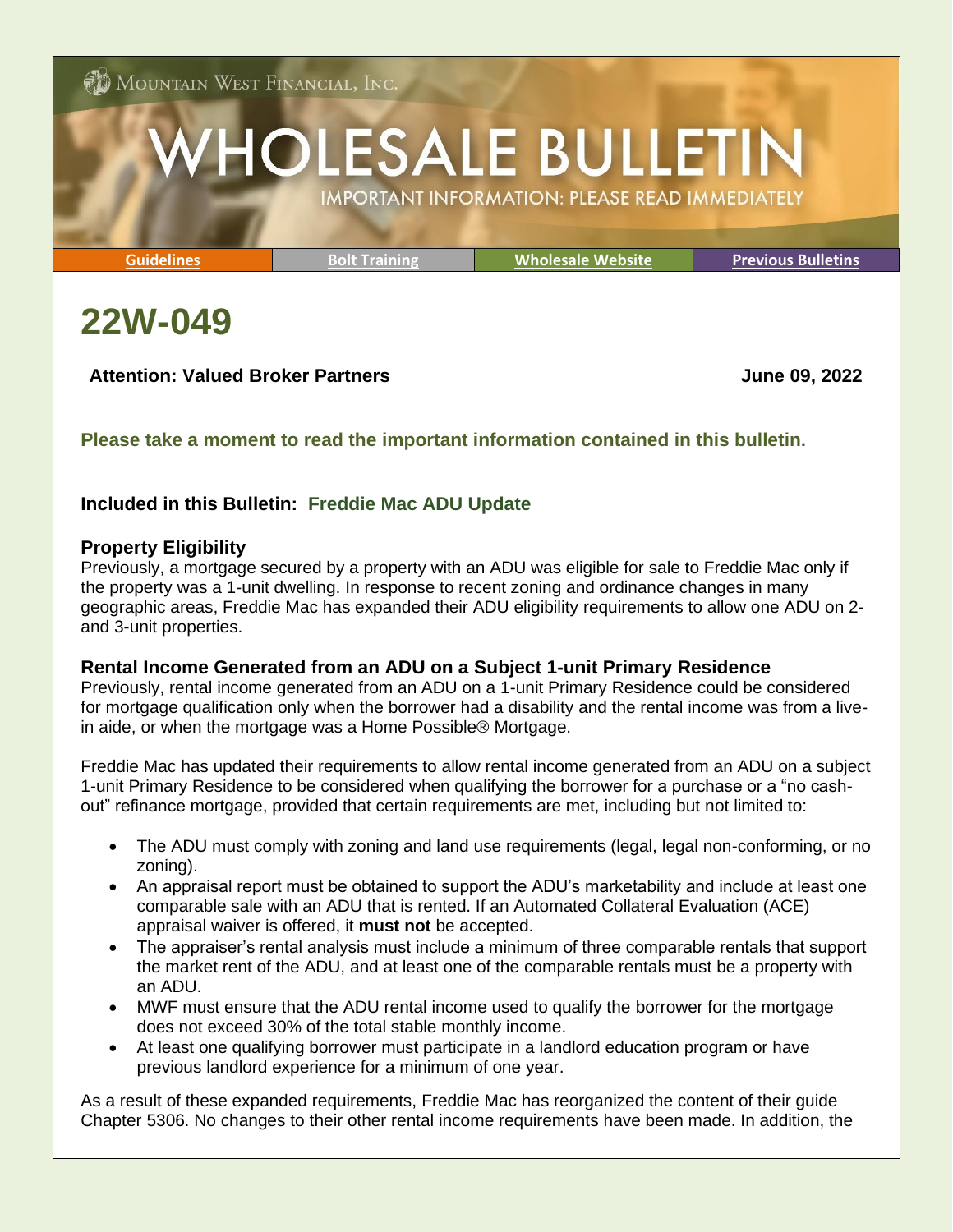$\mathcal{F}$  Mountain West Financial, Inc.

# **HOLESALE BULLETIN IMPORTANT INFORMATION: PLEASE READ IMMEDIATELY**

**[Guidelines](http://www.mwfwholesale.com/index.php/product-guidelines) [Bolt Training](http://www.mwfwholesale.com/index.php/bolt/how-to-s-pdf-s) [Wholesale Website](http://www.mwfwholesale.com/) [Previous Bulletins](http://www.mwfwholesale.com/index.php/bulletins)**

## **22W-049**

## **Attention: Valued Broker Partners June 09, 2022**

## **Please take a moment to read the important information contained in this bulletin.**

## **Included in this Bulletin: Freddie Mac ADU Update**

### **Property Eligibility**

Previously, a mortgage secured by a property with an ADU was eligible for sale to Freddie Mac only if the property was a 1-unit dwelling. In response to recent zoning and ordinance changes in many geographic areas, Freddie Mac has expanded their ADU eligibility requirements to allow one ADU on 2 and 3-unit properties.

## **Rental Income Generated from an ADU on a Subject 1-unit Primary Residence**

Previously, rental income generated from an ADU on a 1-unit Primary Residence could be considered for mortgage qualification only when the borrower had a disability and the rental income was from a livein aide, or when the mortgage was a Home Possible® Mortgage.

Freddie Mac has updated their requirements to allow rental income generated from an ADU on a subject 1-unit Primary Residence to be considered when qualifying the borrower for a purchase or a "no cashout" refinance mortgage, provided that certain requirements are met, including but not limited to:

- The ADU must comply with zoning and land use requirements (legal, legal non-conforming, or no zoning).
- An appraisal report must be obtained to support the ADU's marketability and include at least one comparable sale with an ADU that is rented. If an Automated Collateral Evaluation (ACE) appraisal waiver is offered, it **must not** be accepted.
- The appraiser's rental analysis must include a minimum of three comparable rentals that support the market rent of the ADU, and at least one of the comparable rentals must be a property with an ADU.
- MWF must ensure that the ADU rental income used to qualify the borrower for the mortgage does not exceed 30% of the total stable monthly income.
- At least one qualifying borrower must participate in a landlord education program or have previous landlord experience for a minimum of one year.

As a result of these expanded requirements, Freddie Mac has reorganized the content of their guide Chapter 5306. No changes to their other rental income requirements have been made. In addition, the